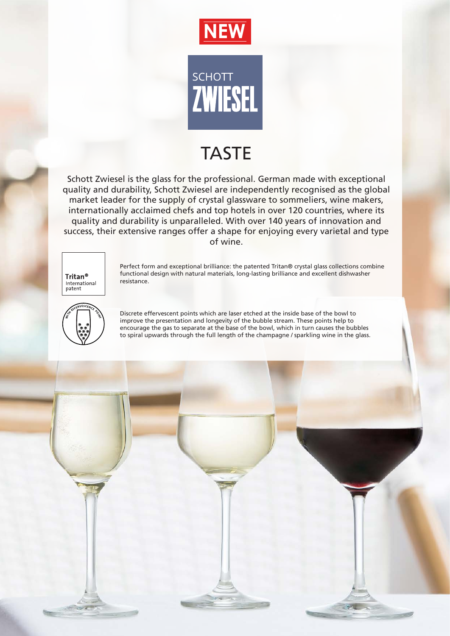



## TASTE

Schott Zwiesel is the glass for the professional. German made with exceptional quality and durability, Schott Zwiesel are independently recognised as the global market leader for the supply of crystal glassware to sommeliers, wine makers, internationally acclaimed chefs and top hotels in over 120 countries, where its quality and durability is unparalleled. With over 140 years of innovation and success, their extensive ranges offer a shape for enjoying every varietal and type of wine.



Perfect form and exceptional brilliance: the patented Tritan® crystal glass collections combine functional design with natural materials, long-lasting brilliance and excellent dishwasher resistance.



Discrete effervescent points which are laser etched at the inside base of the bowl to improve the presentation and longevity of the bubble stream. These points help to encourage the gas to separate at the base of the bowl, which in turn causes the bubbles to spiral upwards through the full length of the champagne / sparkling wine in the glass.